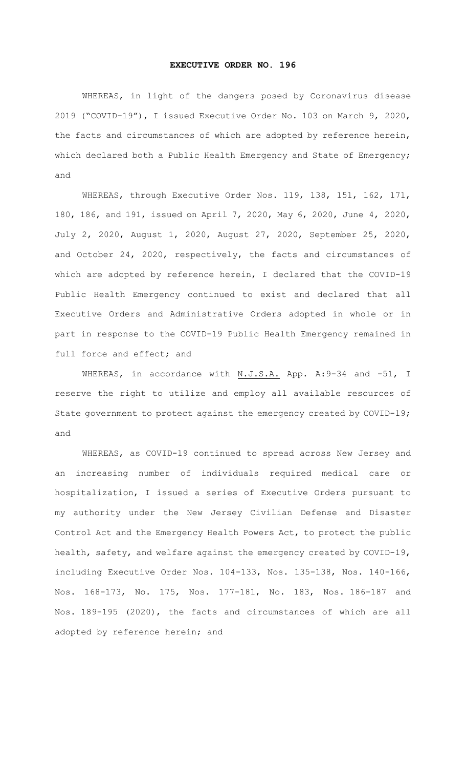## **EXECUTIVE ORDER NO. 196**

WHEREAS, in light of the dangers posed by Coronavirus disease 2019 ("COVID-19"), I issued Executive Order No. 103 on March 9, 2020, the facts and circumstances of which are adopted by reference herein, which declared both a Public Health Emergency and State of Emergency; and

WHEREAS, through Executive Order Nos. 119, 138, 151, 162, 171, 180, 186, and 191, issued on April 7, 2020, May 6, 2020, June 4, 2020, July 2, 2020, August 1, 2020, August 27, 2020, September 25, 2020, and October 24, 2020, respectively, the facts and circumstances of which are adopted by reference herein, I declared that the COVID-19 Public Health Emergency continued to exist and declared that all Executive Orders and Administrative Orders adopted in whole or in part in response to the COVID-19 Public Health Emergency remained in full force and effect; and

WHEREAS, in accordance with N.J.S.A. App. A:9-34 and -51, I reserve the right to utilize and employ all available resources of State government to protect against the emergency created by COVID-19; and

WHEREAS, as COVID-19 continued to spread across New Jersey and an increasing number of individuals required medical care or hospitalization, I issued a series of Executive Orders pursuant to my authority under the New Jersey Civilian Defense and Disaster Control Act and the Emergency Health Powers Act, to protect the public health, safety, and welfare against the emergency created by COVID-19, including Executive Order Nos. 104-133, Nos. 135-138, Nos. 140-166, Nos. 168-173, No. 175, Nos. 177-181, No. 183, Nos. 186-187 and Nos. 189-195 (2020), the facts and circumstances of which are all adopted by reference herein; and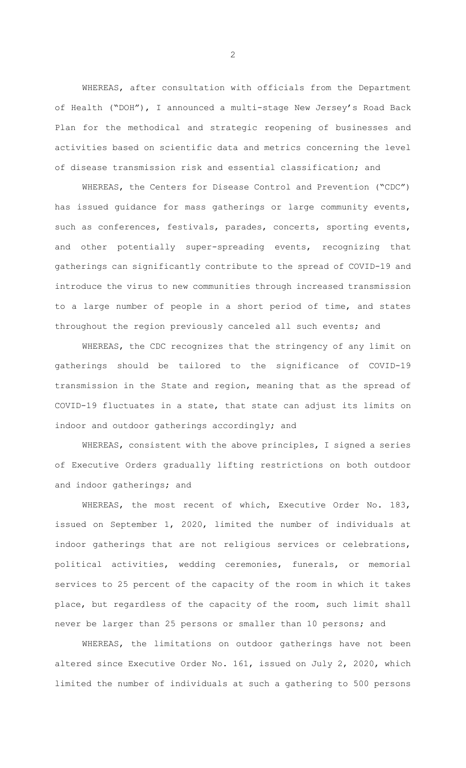WHEREAS, after consultation with officials from the Department of Health ("DOH"), I announced a multi-stage New Jersey's Road Back Plan for the methodical and strategic reopening of businesses and activities based on scientific data and metrics concerning the level of disease transmission risk and essential classification; and

WHEREAS, the Centers for Disease Control and Prevention ("CDC") has issued guidance for mass gatherings or large community events, such as conferences, festivals, parades, concerts, sporting events, and other potentially super-spreading events, recognizing that gatherings can significantly contribute to the spread of COVID-19 and introduce the virus to new communities through increased transmission to a large number of people in a short period of time, and states throughout the region previously canceled all such events; and

WHEREAS, the CDC recognizes that the stringency of any limit on gatherings should be tailored to the significance of COVID-19 transmission in the State and region, meaning that as the spread of COVID-19 fluctuates in a state, that state can adjust its limits on indoor and outdoor gatherings accordingly; and

WHEREAS, consistent with the above principles, I signed a series of Executive Orders gradually lifting restrictions on both outdoor and indoor gatherings; and

WHEREAS, the most recent of which, Executive Order No. 183, issued on September 1, 2020, limited the number of individuals at indoor gatherings that are not religious services or celebrations, political activities, wedding ceremonies, funerals, or memorial services to 25 percent of the capacity of the room in which it takes place, but regardless of the capacity of the room, such limit shall never be larger than 25 persons or smaller than 10 persons; and

WHEREAS, the limitations on outdoor gatherings have not been altered since Executive Order No. 161, issued on July 2, 2020, which limited the number of individuals at such a gathering to 500 persons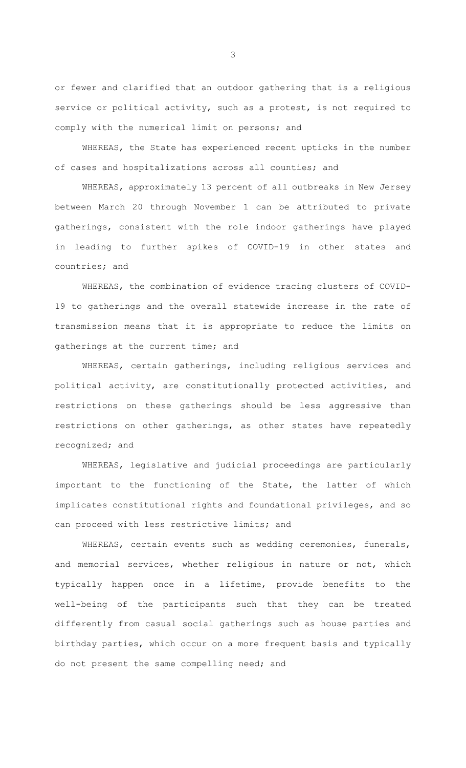or fewer and clarified that an outdoor gathering that is a religious service or political activity, such as a protest, is not required to comply with the numerical limit on persons; and

WHEREAS, the State has experienced recent upticks in the number of cases and hospitalizations across all counties; and

WHEREAS, approximately 13 percent of all outbreaks in New Jersey between March 20 through November 1 can be attributed to private gatherings, consistent with the role indoor gatherings have played in leading to further spikes of COVID-19 in other states and countries; and

WHEREAS, the combination of evidence tracing clusters of COVID-19 to gatherings and the overall statewide increase in the rate of transmission means that it is appropriate to reduce the limits on gatherings at the current time; and

WHEREAS, certain gatherings, including religious services and political activity, are constitutionally protected activities, and restrictions on these gatherings should be less aggressive than restrictions on other gatherings, as other states have repeatedly recognized; and

WHEREAS, legislative and judicial proceedings are particularly important to the functioning of the State, the latter of which implicates constitutional rights and foundational privileges, and so can proceed with less restrictive limits; and

WHEREAS, certain events such as wedding ceremonies, funerals, and memorial services, whether religious in nature or not, which typically happen once in a lifetime, provide benefits to the well-being of the participants such that they can be treated differently from casual social gatherings such as house parties and birthday parties, which occur on a more frequent basis and typically do not present the same compelling need; and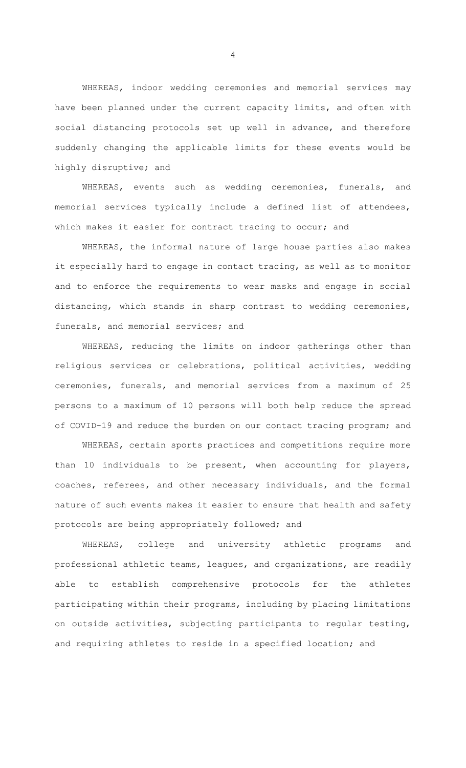WHEREAS, indoor wedding ceremonies and memorial services may have been planned under the current capacity limits, and often with social distancing protocols set up well in advance, and therefore suddenly changing the applicable limits for these events would be highly disruptive; and

WHEREAS, events such as wedding ceremonies, funerals, and memorial services typically include a defined list of attendees, which makes it easier for contract tracing to occur; and

WHEREAS, the informal nature of large house parties also makes it especially hard to engage in contact tracing, as well as to monitor and to enforce the requirements to wear masks and engage in social distancing, which stands in sharp contrast to wedding ceremonies, funerals, and memorial services; and

WHEREAS, reducing the limits on indoor gatherings other than religious services or celebrations, political activities, wedding ceremonies, funerals, and memorial services from a maximum of 25 persons to a maximum of 10 persons will both help reduce the spread of COVID-19 and reduce the burden on our contact tracing program; and

WHEREAS, certain sports practices and competitions require more than 10 individuals to be present, when accounting for players, coaches, referees, and other necessary individuals, and the formal nature of such events makes it easier to ensure that health and safety protocols are being appropriately followed; and

WHEREAS, college and university athletic programs and professional athletic teams, leagues, and organizations, are readily able to establish comprehensive protocols for the athletes participating within their programs, including by placing limitations on outside activities, subjecting participants to regular testing, and requiring athletes to reside in a specified location; and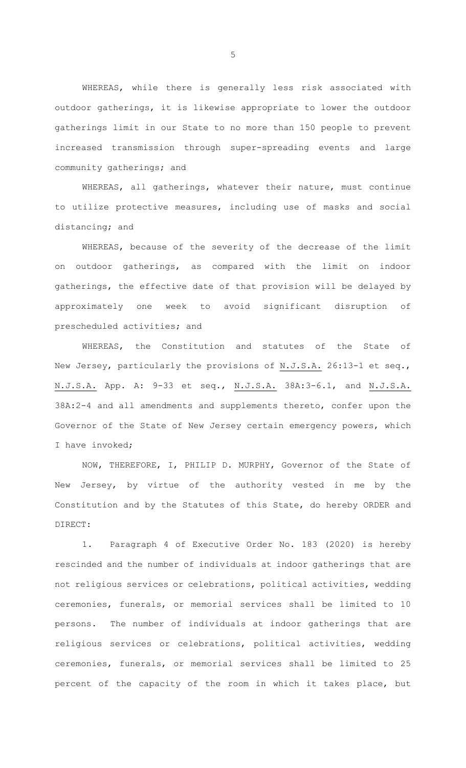WHEREAS, while there is generally less risk associated with outdoor gatherings, it is likewise appropriate to lower the outdoor gatherings limit in our State to no more than 150 people to prevent increased transmission through super-spreading events and large community gatherings; and

WHEREAS, all gatherings, whatever their nature, must continue to utilize protective measures, including use of masks and social distancing; and

WHEREAS, because of the severity of the decrease of the limit on outdoor gatherings, as compared with the limit on indoor gatherings, the effective date of that provision will be delayed by approximately one week to avoid significant disruption of prescheduled activities; and

WHEREAS, the Constitution and statutes of the State of New Jersey, particularly the provisions of N.J.S.A. 26:13-1 et seq., N.J.S.A. App. A: 9-33 et seq., N.J.S.A. 38A:3-6.1, and N.J.S.A. 38A:2-4 and all amendments and supplements thereto, confer upon the Governor of the State of New Jersey certain emergency powers, which I have invoked;

NOW, THEREFORE, I, PHILIP D. MURPHY, Governor of the State of New Jersey, by virtue of the authority vested in me by the Constitution and by the Statutes of this State, do hereby ORDER and DIRECT:

1. Paragraph 4 of Executive Order No. 183 (2020) is hereby rescinded and the number of individuals at indoor gatherings that are not religious services or celebrations, political activities, wedding ceremonies, funerals, or memorial services shall be limited to 10 persons. The number of individuals at indoor gatherings that are religious services or celebrations, political activities, wedding ceremonies, funerals, or memorial services shall be limited to 25 percent of the capacity of the room in which it takes place, but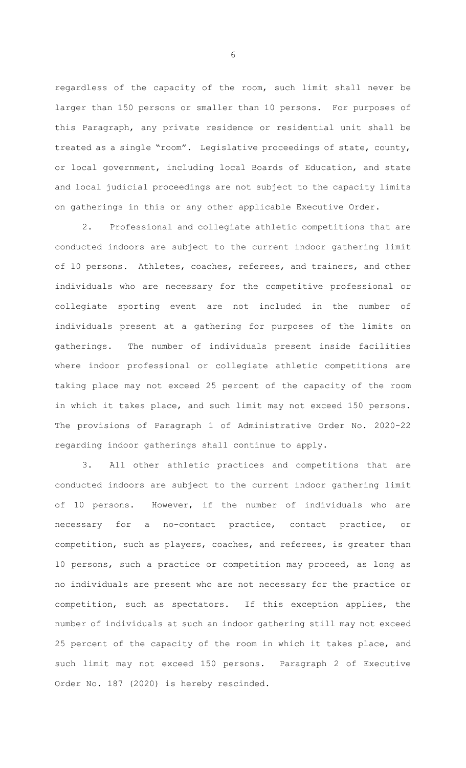regardless of the capacity of the room, such limit shall never be larger than 150 persons or smaller than 10 persons. For purposes of this Paragraph, any private residence or residential unit shall be treated as a single "room". Legislative proceedings of state, county, or local government, including local Boards of Education, and state and local judicial proceedings are not subject to the capacity limits on gatherings in this or any other applicable Executive Order.

2. Professional and collegiate athletic competitions that are conducted indoors are subject to the current indoor gathering limit of 10 persons. Athletes, coaches, referees, and trainers, and other individuals who are necessary for the competitive professional or collegiate sporting event are not included in the number of individuals present at a gathering for purposes of the limits on gatherings. The number of individuals present inside facilities where indoor professional or collegiate athletic competitions are taking place may not exceed 25 percent of the capacity of the room in which it takes place, and such limit may not exceed 150 persons. The provisions of Paragraph 1 of Administrative Order No. 2020-22 regarding indoor gatherings shall continue to apply.

3. All other athletic practices and competitions that are conducted indoors are subject to the current indoor gathering limit of 10 persons. However, if the number of individuals who are necessary for a no-contact practice, contact practice, or competition, such as players, coaches, and referees, is greater than 10 persons, such a practice or competition may proceed, as long as no individuals are present who are not necessary for the practice or competition, such as spectators. If this exception applies, the number of individuals at such an indoor gathering still may not exceed 25 percent of the capacity of the room in which it takes place, and such limit may not exceed 150 persons. Paragraph 2 of Executive Order No. 187 (2020) is hereby rescinded.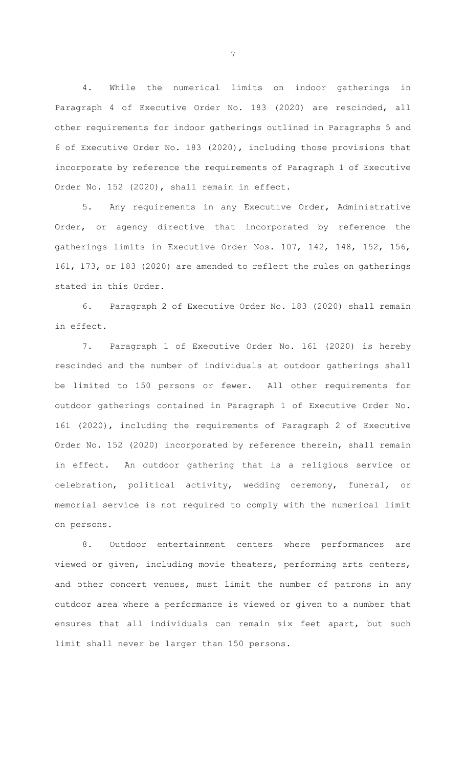4. While the numerical limits on indoor gatherings in Paragraph 4 of Executive Order No. 183 (2020) are rescinded, all other requirements for indoor gatherings outlined in Paragraphs 5 and 6 of Executive Order No. 183 (2020), including those provisions that incorporate by reference the requirements of Paragraph 1 of Executive Order No. 152 (2020), shall remain in effect.

5. Any requirements in any Executive Order, Administrative Order, or agency directive that incorporated by reference the gatherings limits in Executive Order Nos. 107, 142, 148, 152, 156, 161, 173, or 183 (2020) are amended to reflect the rules on gatherings stated in this Order.

6. Paragraph 2 of Executive Order No. 183 (2020) shall remain in effect.

7. Paragraph 1 of Executive Order No. 161 (2020) is hereby rescinded and the number of individuals at outdoor gatherings shall be limited to 150 persons or fewer. All other requirements for outdoor gatherings contained in Paragraph 1 of Executive Order No. 161 (2020), including the requirements of Paragraph 2 of Executive Order No. 152 (2020) incorporated by reference therein, shall remain in effect. An outdoor gathering that is a religious service or celebration, political activity, wedding ceremony, funeral, or memorial service is not required to comply with the numerical limit on persons.

8. Outdoor entertainment centers where performances are viewed or given, including movie theaters, performing arts centers, and other concert venues, must limit the number of patrons in any outdoor area where a performance is viewed or given to a number that ensures that all individuals can remain six feet apart, but such limit shall never be larger than 150 persons.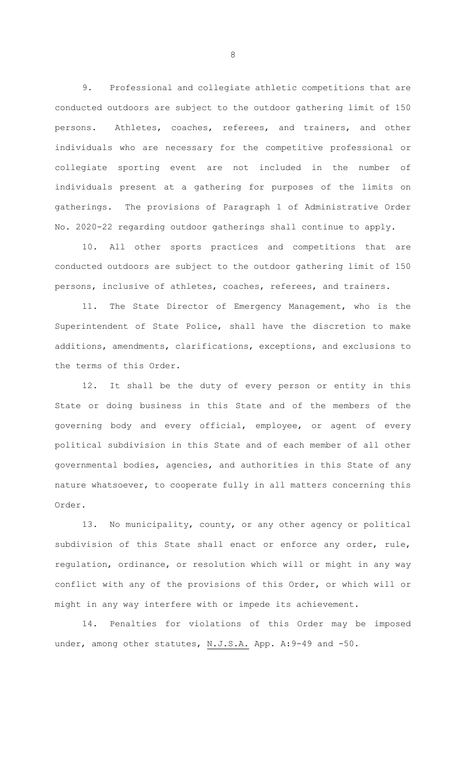9. Professional and collegiate athletic competitions that are conducted outdoors are subject to the outdoor gathering limit of 150 persons. Athletes, coaches, referees, and trainers, and other individuals who are necessary for the competitive professional or collegiate sporting event are not included in the number of individuals present at a gathering for purposes of the limits on gatherings. The provisions of Paragraph 1 of Administrative Order No. 2020-22 regarding outdoor gatherings shall continue to apply.

10. All other sports practices and competitions that are conducted outdoors are subject to the outdoor gathering limit of 150 persons, inclusive of athletes, coaches, referees, and trainers.

11. The State Director of Emergency Management, who is the Superintendent of State Police, shall have the discretion to make additions, amendments, clarifications, exceptions, and exclusions to the terms of this Order.

12. It shall be the duty of every person or entity in this State or doing business in this State and of the members of the governing body and every official, employee, or agent of every political subdivision in this State and of each member of all other governmental bodies, agencies, and authorities in this State of any nature whatsoever, to cooperate fully in all matters concerning this Order.

13. No municipality, county, or any other agency or political subdivision of this State shall enact or enforce any order, rule, regulation, ordinance, or resolution which will or might in any way conflict with any of the provisions of this Order, or which will or might in any way interfere with or impede its achievement.

14. Penalties for violations of this Order may be imposed under, among other statutes, N.J.S.A. App. A: 9-49 and -50.